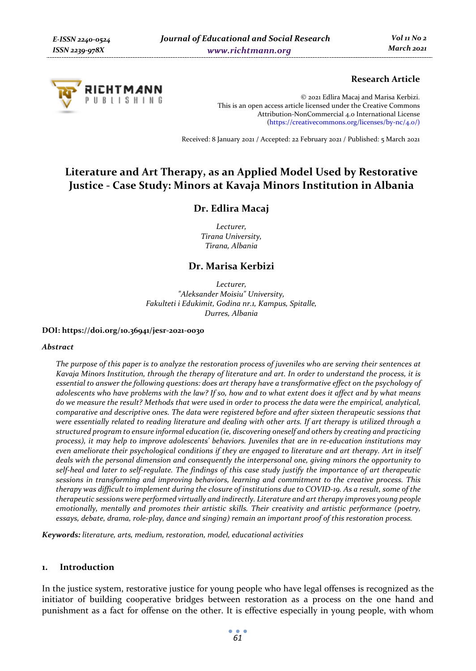

# **Research Article**

© 2021 Edlira Macaj and Marisa Kerbizi. This is an open access article licensed under the Creative Commons Attribution-NonCommercial 4.0 International License (https://creativecommons.org/licenses/by-nc/4.0/)

Received: 8 January 2021 / Accepted: 22 February 2021 / Published: 5 March 2021

# **Literature and Art Therapy, as an Applied Model Used by Restorative Justice - Case Study: Minors at Kavaja Minors Institution in Albania**

# **Dr. Edlira Macaj**

*Lecturer, Tirana University, Tirana, Albania* 

# **Dr. Marisa Kerbizi**

*Lecturer, "Aleksander Moisiu" University, Fakulteti i Edukimit, Godina nr.1, Kampus, Spitalle, Durres, Albania* 

#### **DOI: https://doi.org/10.36941/jesr-2021-0030**

#### *Abstract*

*The purpose of this paper is to analyze the restoration process of juveniles who are serving their sentences at Kavaja Minors Institution, through the therapy of literature and art. In order to understand the process, it is essential to answer the following questions: does art therapy have a transformative effect on the psychology of adolescents who have problems with the law? If so, how and to what extent does it affect and by what means do we measure the result? Methods that were used in order to process the data were the empirical, analytical, comparative and descriptive ones. The data were registered before and after sixteen therapeutic sessions that were essentially related to reading literature and dealing with other arts. If art therapy is utilized through a structured program to ensure informal education (ie, discovering oneself and others by creating and practicing process), it may help to improve adolescents' behaviors. Juveniles that are in re-education institutions may even ameliorate their psychological conditions if they are engaged to literature and art therapy. Art in itself deals with the personal dimension and consequently the interpersonal one, giving minors the opportunity to self-heal and later to self-regulate. The findings of this case study justify the importance of art therapeutic sessions in transforming and improving behaviors, learning and commitment to the creative process. This therapy was difficult to implement during the closure of institutions due to COVID-19. As a result, some of the therapeutic sessions were performed virtually and indirectly. Literature and art therapy improves young people emotionally, mentally and promotes their artistic skills. Their creativity and artistic performance (poetry, essays, debate, drama, role-play, dance and singing) remain an important proof of this restoration process.* 

*Keywords: literature, arts, medium, restoration, model, educational activities* 

### **1. Introduction**

In the justice system, restorative justice for young people who have legal offenses is recognized as the initiator of building cooperative bridges between restoration as a process on the one hand and punishment as a fact for offense on the other. It is effective especially in young people, with whom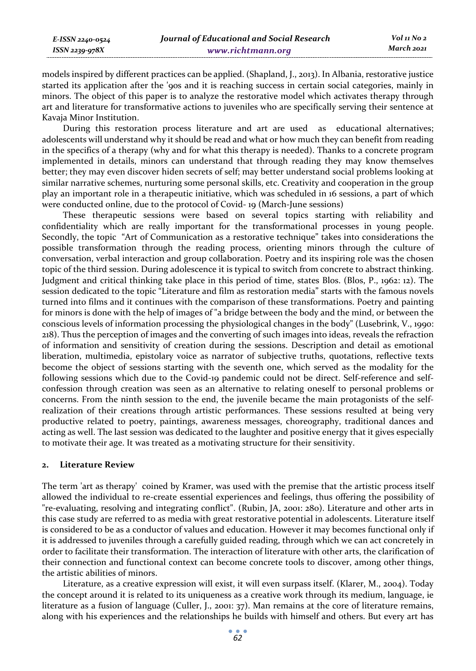*Vol 11 No 2 March 2021*

models inspired by different practices can be applied. (Shapland, J., 2013). In Albania, restorative justice started its application after the '90s and it is reaching success in certain social categories, mainly in minors. The object of this paper is to analyze the restorative model which activates therapy through art and literature for transformative actions to juveniles who are specifically serving their sentence at Kavaja Minor Institution.

During this restoration process literature and art are used as educational alternatives; adolescents will understand why it should be read and what or how much they can benefit from reading in the specifics of a therapy (why and for what this therapy is needed). Thanks to a concrete program implemented in details, minors can understand that through reading they may know themselves better; they may even discover hiden secrets of self; may better understand social problems looking at similar narrative schemes, nurturing some personal skills, etc. Creativity and cooperation in the group play an important role in a therapeutic initiative, which was scheduled in 16 sessions, a part of which were conducted online, due to the protocol of Covid- 19 (March-June sessions)

These therapeutic sessions were based on several topics starting with reliability and confidentiality which are really important for the transformational processes in young people. Secondly, the topic "Art of Communication as a restorative technique" takes into considerations the possible transformation through the reading process, orienting minors through the culture of conversation, verbal interaction and group collaboration. Poetry and its inspiring role was the chosen topic of the third session. During adolescence it is typical to switch from concrete to abstract thinking. Judgment and critical thinking take place in this period of time, states Blos. (Blos, P., 1962: 12). The session dedicated to the topic "Literature and film as restoration media" starts with the famous novels turned into films and it continues with the comparison of these transformations. Poetry and painting for minors is done with the help of images of "a bridge between the body and the mind, or between the conscious levels of information processing the physiological changes in the body" (Lusebrink, V., 1990: 218). Thus the perception of images and the converting of such images into ideas, reveals the refraction of information and sensitivity of creation during the sessions. Description and detail as emotional liberation, multimedia, epistolary voice as narrator of subjective truths, quotations, reflective texts become the object of sessions starting with the seventh one, which served as the modality for the following sessions which due to the Covid-19 pandemic could not be direct. Self-reference and selfconfession through creation was seen as an alternative to relating oneself to personal problems or concerns. From the ninth session to the end, the juvenile became the main protagonists of the selfrealization of their creations through artistic performances. These sessions resulted at being very productive related to poetry, paintings, awareness messages, choreography, traditional dances and acting as well. The last session was dedicated to the laughter and positive energy that it gives especially to motivate their age. It was treated as a motivating structure for their sensitivity.

### **2. Literature Review**

*E-ISSN 2240-0524 ISSN 2239-978X*

The term 'art as therapy' coined by Kramer, was used with the premise that the artistic process itself allowed the individual to re-create essential experiences and feelings, thus offering the possibility of "re-evaluating, resolving and integrating conflict". (Rubin, JA, 2001: 280). Literature and other arts in this case study are referred to as media with great restorative potential in adolescents. Literature itself is considered to be as a conductor of values and education. However it may becomes functional only if it is addressed to juveniles through a carefully guided reading, through which we can act concretely in order to facilitate their transformation. The interaction of literature with other arts, the clarification of their connection and functional context can become concrete tools to discover, among other things, the artistic abilities of minors.

Literature, as a creative expression will exist, it will even surpass itself. (Klarer, M., 2004). Today the concept around it is related to its uniqueness as a creative work through its medium, language, ie literature as a fusion of language (Culler, J., 2001: 37). Man remains at the core of literature remains, along with his experiences and the relationships he builds with himself and others. But every art has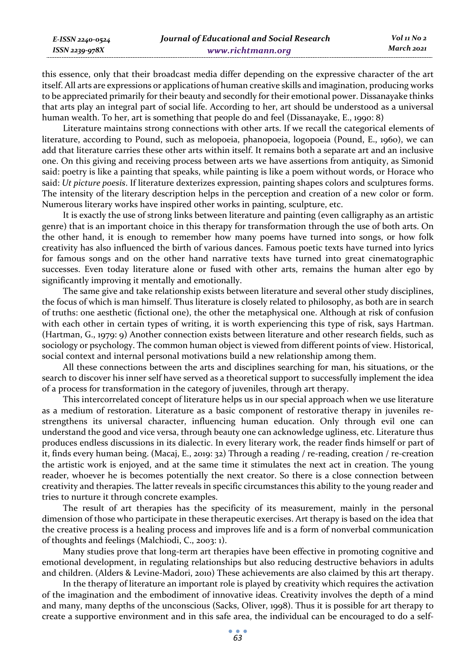this essence, only that their broadcast media differ depending on the expressive character of the art itself. All arts are expressions or applications of human creative skills and imagination, producing works to be appreciated primarily for their beauty and secondly for their emotional power. Dissanayake thinks that arts play an integral part of social life. According to her, art should be understood as a universal human wealth. To her, art is something that people do and feel (Dissanayake, E., 1990: 8)

Literature maintains strong connections with other arts. If we recall the categorical elements of literature, according to Pound, such as melopoeia, phanopoeia, logopoeia (Pound, E., 1960), we can add that literature carries these other arts within itself. It remains both a separate art and an inclusive one. On this giving and receiving process between arts we have assertions from antiquity, as Simonid said: poetry is like a painting that speaks, while painting is like a poem without words, or Horace who said: *Ut picture poesis*. If literature dexterizes expression, painting shapes colors and sculptures forms. The intensity of the literary description helps in the perception and creation of a new color or form. Numerous literary works have inspired other works in painting, sculpture, etc.

It is exactly the use of strong links between literature and painting (even calligraphy as an artistic genre) that is an important choice in this therapy for transformation through the use of both arts. On the other hand, it is enough to remember how many poems have turned into songs, or how folk creativity has also influenced the birth of various dances. Famous poetic texts have turned into lyrics for famous songs and on the other hand narrative texts have turned into great cinematographic successes. Even today literature alone or fused with other arts, remains the human alter ego by significantly improving it mentally and emotionally.

The same give and take relationship exists between literature and several other study disciplines, the focus of which is man himself. Thus literature is closely related to philosophy, as both are in search of truths: one aesthetic (fictional one), the other the metaphysical one. Although at risk of confusion with each other in certain types of writing, it is worth experiencing this type of risk, says Hartman. (Hartman, G., 1979: 9) Another connection exists between literature and other research fields, such as sociology or psychology. The common human object is viewed from different points of view. Historical, social context and internal personal motivations build a new relationship among them.

All these connections between the arts and disciplines searching for man, his situations, or the search to discover his inner self have served as a theoretical support to successfully implement the idea of a process for transformation in the category of juveniles, through art therapy.

This intercorrelated concept of literature helps us in our special approach when we use literature as a medium of restoration. Literature as a basic component of restorative therapy in juveniles restrengthens its universal character, influencing human education. Only through evil one can understand the good and vice versa, through beauty one can acknowledge ugliness, etc. Literature thus produces endless discussions in its dialectic. In every literary work, the reader finds himself or part of it, finds every human being. (Macaj, E., 2019: 32) Through a reading / re-reading, creation / re-creation the artistic work is enjoyed, and at the same time it stimulates the next act in creation. The young reader, whoever he is becomes potentially the next creator. So there is a close connection between creativity and therapies. The latter reveals in specific circumstances this ability to the young reader and tries to nurture it through concrete examples.

The result of art therapies has the specificity of its measurement, mainly in the personal dimension of those who participate in these therapeutic exercises. Art therapy is based on the idea that the creative process is a healing process and improves life and is a form of nonverbal communication of thoughts and feelings (Malchiodi, C., 2003: 1).

Many studies prove that long-term art therapies have been effective in promoting cognitive and emotional development, in regulating relationships but also reducing destructive behaviors in adults and children. (Alders & Levine-Madori, 2010) These achievements are also claimed by this art therapy.

In the therapy of literature an important role is played by creativity which requires the activation of the imagination and the embodiment of innovative ideas. Creativity involves the depth of a mind and many, many depths of the unconscious (Sacks, Oliver, 1998). Thus it is possible for art therapy to create a supportive environment and in this safe area, the individual can be encouraged to do a self-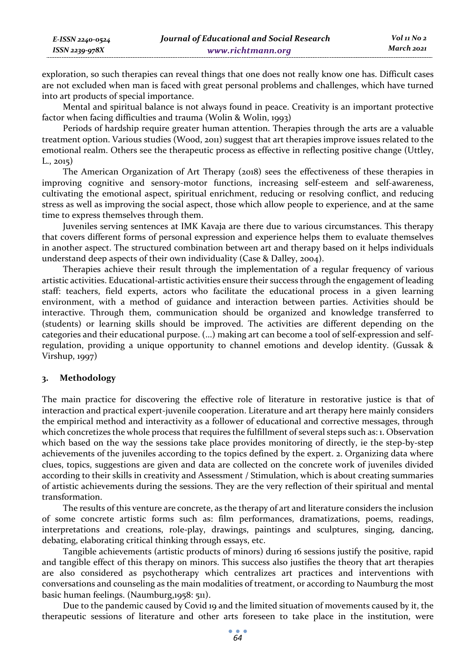| E-ISSN 2240-0524 | Journal of Educational and Social Research | Vol 11 No 2 |
|------------------|--------------------------------------------|-------------|
| ISSN 2239-978X   | www.richtmann.org                          | March 2021  |

exploration, so such therapies can reveal things that one does not really know one has. Difficult cases are not excluded when man is faced with great personal problems and challenges, which have turned into art products of special importance.

Mental and spiritual balance is not always found in peace. Creativity is an important protective factor when facing difficulties and trauma (Wolin & Wolin, 1993)

Periods of hardship require greater human attention. Therapies through the arts are a valuable treatment option. Various studies (Wood, 2011) suggest that art therapies improve issues related to the emotional realm. Others see the therapeutic process as effective in reflecting positive change (Uttley, L., 2015)

The American Organization of Art Therapy (2018) sees the effectiveness of these therapies in improving cognitive and sensory-motor functions, increasing self-esteem and self-awareness, cultivating the emotional aspect, spiritual enrichment, reducing or resolving conflict, and reducing stress as well as improving the social aspect, those which allow people to experience, and at the same time to express themselves through them.

Juveniles serving sentences at IMK Kavaja are there due to various circumstances. This therapy that covers different forms of personal expression and experience helps them to evaluate themselves in another aspect. The structured combination between art and therapy based on it helps individuals understand deep aspects of their own individuality (Case & Dalley, 2004).

Therapies achieve their result through the implementation of a regular frequency of various artistic activities. Educational-artistic activities ensure their success through the engagement of leading staff: teachers, field experts, actors who facilitate the educational process in a given learning environment, with a method of guidance and interaction between parties. Activities should be interactive. Through them, communication should be organized and knowledge transferred to (students) or learning skills should be improved. The activities are different depending on the categories and their educational purpose. (...) making art can become a tool of self-expression and selfregulation, providing a unique opportunity to channel emotions and develop identity. (Gussak & Virshup, 1997)

### **3. Methodology**

The main practice for discovering the effective role of literature in restorative justice is that of interaction and practical expert-juvenile cooperation. Literature and art therapy here mainly considers the empirical method and interactivity as a follower of educational and corrective messages, through which concretizes the whole process that requires the fulfillment of several steps such as: 1. Observation which based on the way the sessions take place provides monitoring of directly, ie the step-by-step achievements of the juveniles according to the topics defined by the expert. 2. Organizing data where clues, topics, suggestions are given and data are collected on the concrete work of juveniles divided according to their skills in creativity and Assessment / Stimulation, which is about creating summaries of artistic achievements during the sessions. They are the very reflection of their spiritual and mental transformation.

The results of this venture are concrete, as the therapy of art and literature considers the inclusion of some concrete artistic forms such as: film performances, dramatizations, poems, readings, interpretations and creations, role-play, drawings, paintings and sculptures, singing, dancing, debating, elaborating critical thinking through essays, etc.

Tangible achievements (artistic products of minors) during 16 sessions justify the positive, rapid and tangible effect of this therapy on minors. This success also justifies the theory that art therapies are also considered as psychotherapy which centralizes art practices and interventions with conversations and counseling as the main modalities of treatment, or according to Naumburg the most basic human feelings. (Naumburg,1958: 511).

Due to the pandemic caused by Covid 19 and the limited situation of movements caused by it, the therapeutic sessions of literature and other arts foreseen to take place in the institution, were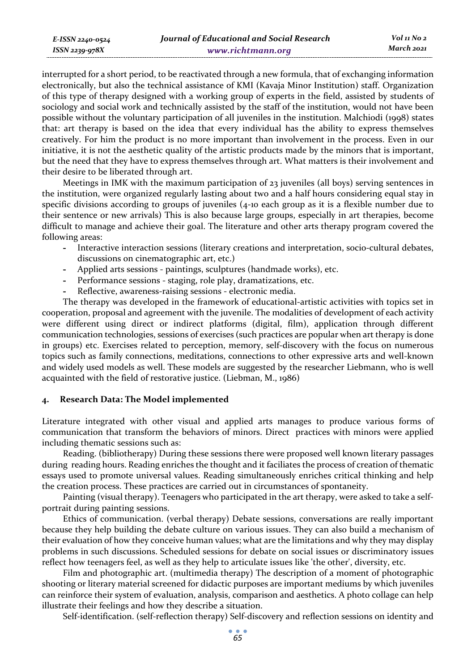interrupted for a short period, to be reactivated through a new formula, that of exchanging information electronically, but also the technical assistance of KMI (Kavaja Minor Institution) staff. Organization of this type of therapy designed with a working group of experts in the field, assisted by students of sociology and social work and technically assisted by the staff of the institution, would not have been possible without the voluntary participation of all juveniles in the institution. Malchiodi (1998) states that: art therapy is based on the idea that every individual has the ability to express themselves creatively. For him the product is no more important than involvement in the process. Even in our initiative, it is not the aesthetic quality of the artistic products made by the minors that is important, but the need that they have to express themselves through art. What matters is their involvement and their desire to be liberated through art.

Meetings in IMK with the maximum participation of 23 juveniles (all boys) serving sentences in the institution, were organized regularly lasting about two and a half hours considering equal stay in specific divisions according to groups of juveniles (4-10 each group as it is a flexible number due to their sentence or new arrivals) This is also because large groups, especially in art therapies, become difficult to manage and achieve their goal. The literature and other arts therapy program covered the following areas:

- **-** Interactive interaction sessions (literary creations and interpretation, socio-cultural debates, discussions on cinematographic art, etc.)
- **-** Applied arts sessions paintings, sculptures (handmade works), etc.
- **-** Performance sessions staging, role play, dramatizations, etc.
- **-** Reflective, awareness-raising sessions electronic media.

The therapy was developed in the framework of educational-artistic activities with topics set in cooperation, proposal and agreement with the juvenile. The modalities of development of each activity were different using direct or indirect platforms (digital, film), application through different communication technologies, sessions of exercises (such practices are popular when art therapy is done in groups) etc. Exercises related to perception, memory, self-discovery with the focus on numerous topics such as family connections, meditations, connections to other expressive arts and well-known and widely used models as well. These models are suggested by the researcher Liebmann, who is well acquainted with the field of restorative justice. (Liebman, M., 1986)

### **4. Research Data: The Model implemented**

*E-ISSN 2240-0524 ISSN 2239-978X*

Literature integrated with other visual and applied arts manages to produce various forms of communication that transform the behaviors of minors. Direct practices with minors were applied including thematic sessions such as:

Reading. (bibliotherapy) During these sessions there were proposed well known literary passages during reading hours. Reading enriches the thought and it faciliates the process of creation of thematic essays used to promote universal values. Reading simultaneously enriches critical thinking and help the creation process. These practices are carried out in circumstances of spontaneity.

Painting (visual therapy). Teenagers who participated in the art therapy, were asked to take a selfportrait during painting sessions.

Ethics of communication. (verbal therapy) Debate sessions, conversations are really important because they help building the debate culture on various issues. They can also build a mechanism of their evaluation of how they conceive human values; what are the limitations and why they may display problems in such discussions. Scheduled sessions for debate on social issues or discriminatory issues reflect how teenagers feel, as well as they help to articulate issues like 'the other', diversity, etc.

Film and photographic art. (multimedia therapy) The description of a moment of photographic shooting or literary material screened for didactic purposes are important mediums by which juveniles can reinforce their system of evaluation, analysis, comparison and aesthetics. A photo collage can help illustrate their feelings and how they describe a situation.

Self-identification. (self-reflection therapy) Self-discovery and reflection sessions on identity and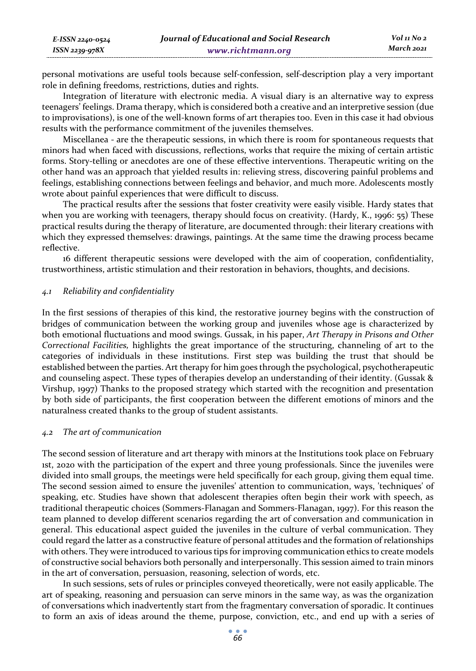| E-ISSN 2240-0524 | Journal of Educational and Social Research | Vol 11 No 2 |
|------------------|--------------------------------------------|-------------|
| ISSN 2239-978X   | www.richtmann.org                          | March 2021  |

personal motivations are useful tools because self-confession, self-description play a very important role in defining freedoms, restrictions, duties and rights.

Integration of literature with electronic media. A visual diary is an alternative way to express teenagers' feelings. Drama therapy, which is considered both a creative and an interpretive session (due to improvisations), is one of the well-known forms of art therapies too. Even in this case it had obvious results with the performance commitment of the juveniles themselves.

Miscellanea - are the therapeutic sessions, in which there is room for spontaneous requests that minors had when faced with discussions, reflections, works that require the mixing of certain artistic forms. Story-telling or anecdotes are one of these effective interventions. Therapeutic writing on the other hand was an approach that yielded results in: relieving stress, discovering painful problems and feelings, establishing connections between feelings and behavior, and much more. Adolescents mostly wrote about painful experiences that were difficult to discuss.

The practical results after the sessions that foster creativity were easily visible. Hardy states that when you are working with teenagers, therapy should focus on creativity. (Hardy, K., 1996: 55) These practical results during the therapy of literature, are documented through: their literary creations with which they expressed themselves: drawings, paintings. At the same time the drawing process became reflective.

16 different therapeutic sessions were developed with the aim of cooperation, confidentiality, trustworthiness, artistic stimulation and their restoration in behaviors, thoughts, and decisions.

#### *4.1 Reliability and confidentiality*

In the first sessions of therapies of this kind, the restorative journey begins with the construction of bridges of communication between the working group and juveniles whose age is characterized by both emotional fluctuations and mood swings. Gussak, in his paper, *Art Therapy in Prisons and Other Correctional Facilities,* highlights the great importance of the structuring, channeling of art to the categories of individuals in these institutions. First step was building the trust that should be established between the parties. Art therapy for him goes through the psychological, psychotherapeutic and counseling aspect. These types of therapies develop an understanding of their identity. (Gussak & Virshup, 1997) Thanks to the proposed strategy which started with the recognition and presentation by both side of participants, the first cooperation between the different emotions of minors and the naturalness created thanks to the group of student assistants.

### *4.2 The art of communication*

The second session of literature and art therapy with minors at the Institutions took place on February 1st, 2020 with the participation of the expert and three young professionals. Since the juveniles were divided into small groups, the meetings were held specifically for each group, giving them equal time. The second session aimed to ensure the juveniles' attention to communication, ways, 'techniques' of speaking, etc. Studies have shown that adolescent therapies often begin their work with speech, as traditional therapeutic choices (Sommers-Flanagan and Sommers-Flanagan, 1997). For this reason the team planned to develop different scenarios regarding the art of conversation and communication in general. This educational aspect guided the juveniles in the culture of verbal communication. They could regard the latter as a constructive feature of personal attitudes and the formation of relationships with others. They were introduced to various tips for improving communication ethics to create models of constructive social behaviors both personally and interpersonally. This session aimed to train minors in the art of conversation, persuasion, reasoning, selection of words, etc.

In such sessions, sets of rules or principles conveyed theoretically, were not easily applicable. The art of speaking, reasoning and persuasion can serve minors in the same way, as was the organization of conversations which inadvertently start from the fragmentary conversation of sporadic. It continues to form an axis of ideas around the theme, purpose, conviction, etc., and end up with a series of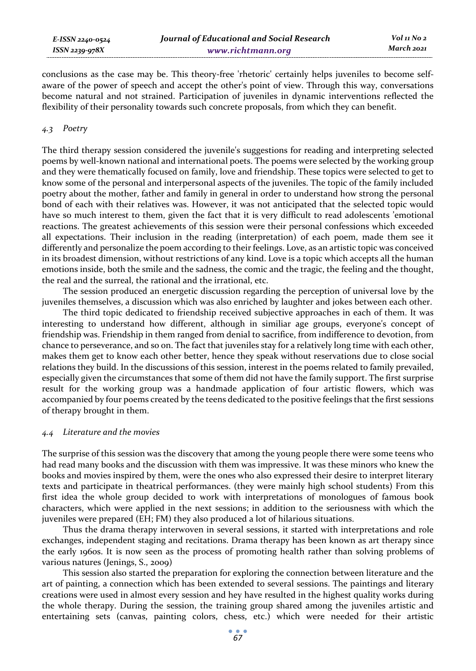conclusions as the case may be. This theory-free 'rhetoric' certainly helps juveniles to become selfaware of the power of speech and accept the other's point of view. Through this way, conversations become natural and not strained. Participation of juveniles in dynamic interventions reflected the flexibility of their personality towards such concrete proposals, from which they can benefit.

### *4.3 Poetry*

The third therapy session considered the juvenile's suggestions for reading and interpreting selected poems by well-known national and international poets. The poems were selected by the working group and they were thematically focused on family, love and friendship. These topics were selected to get to know some of the personal and interpersonal aspects of the juveniles. The topic of the family included poetry about the mother, father and family in general in order to understand how strong the personal bond of each with their relatives was. However, it was not anticipated that the selected topic would have so much interest to them, given the fact that it is very difficult to read adolescents 'emotional reactions. The greatest achievements of this session were their personal confessions which exceeded all expectations. Their inclusion in the reading (interpretation) of each poem, made them see it differently and personalize the poem according to their feelings. Love, as an artistic topic was conceived in its broadest dimension, without restrictions of any kind. Love is a topic which accepts all the human emotions inside, both the smile and the sadness, the comic and the tragic, the feeling and the thought, the real and the surreal, the rational and the irrational, etc.

The session produced an energetic discussion regarding the perception of universal love by the juveniles themselves, a discussion which was also enriched by laughter and jokes between each other.

The third topic dedicated to friendship received subjective approaches in each of them. It was interesting to understand how different, although in similiar age groups, everyone's concept of friendship was. Friendship in them ranged from denial to sacrifice, from indifference to devotion, from chance to perseverance, and so on. The fact that juveniles stay for a relatively long time with each other, makes them get to know each other better, hence they speak without reservations due to close social relations they build. In the discussions of this session, interest in the poems related to family prevailed, especially given the circumstances that some of them did not have the family support. The first surprise result for the working group was a handmade application of four artistic flowers, which was accompanied by four poems created by the teens dedicated to the positive feelings that the first sessions of therapy brought in them.

#### *4.4 Literature and the movies*

The surprise of this session was the discovery that among the young people there were some teens who had read many books and the discussion with them was impressive. It was these minors who knew the books and movies inspired by them, were the ones who also expressed their desire to interpret literary texts and participate in theatrical performances. (they were mainly high school students) From this first idea the whole group decided to work with interpretations of monologues of famous book characters, which were applied in the next sessions; in addition to the seriousness with which the juveniles were prepared (EH; FM) they also produced a lot of hilarious situations.

Thus the drama therapy interwoven in several sessions, it started with interpretations and role exchanges, independent staging and recitations. Drama therapy has been known as art therapy since the early 1960s. It is now seen as the process of promoting health rather than solving problems of various natures (Jenings, S., 2009)

This session also started the preparation for exploring the connection between literature and the art of painting, a connection which has been extended to several sessions. The paintings and literary creations were used in almost every session and hey have resulted in the highest quality works during the whole therapy. During the session, the training group shared among the juveniles artistic and entertaining sets (canvas, painting colors, chess, etc.) which were needed for their artistic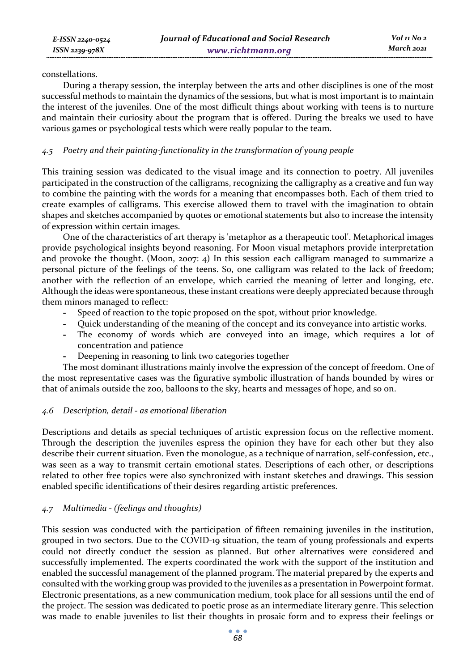constellations.

During a therapy session, the interplay between the arts and other disciplines is one of the most successful methods to maintain the dynamics of the sessions, but what is most important is to maintain the interest of the juveniles. One of the most difficult things about working with teens is to nurture and maintain their curiosity about the program that is offered. During the breaks we used to have various games or psychological tests which were really popular to the team.

## *4.5 Poetry and their painting-functionality in the transformation of young people*

This training session was dedicated to the visual image and its connection to poetry. All juveniles participated in the construction of the calligrams, recognizing the calligraphy as a creative and fun way to combine the painting with the words for a meaning that encompasses both. Each of them tried to create examples of calligrams. This exercise allowed them to travel with the imagination to obtain shapes and sketches accompanied by quotes or emotional statements but also to increase the intensity of expression within certain images.

One of the characteristics of art therapy is 'metaphor as a therapeutic tool'. Metaphorical images provide psychological insights beyond reasoning. For Moon visual metaphors provide interpretation and provoke the thought. (Moon, 2007: 4) In this session each calligram managed to summarize a personal picture of the feelings of the teens. So, one calligram was related to the lack of freedom; another with the reflection of an envelope, which carried the meaning of letter and longing, etc. Although the ideas were spontaneous, these instant creations were deeply appreciated because through them minors managed to reflect:

- **-** Speed of reaction to the topic proposed on the spot, without prior knowledge.
- **-** Quick understanding of the meaning of the concept and its conveyance into artistic works.
- **-** The economy of words which are conveyed into an image, which requires a lot of concentration and patience
- **-** Deepening in reasoning to link two categories together

The most dominant illustrations mainly involve the expression of the concept of freedom. One of the most representative cases was the figurative symbolic illustration of hands bounded by wires or that of animals outside the zoo, balloons to the sky, hearts and messages of hope, and so on.

### *4.6 Description, detail - as emotional liberation*

Descriptions and details as special techniques of artistic expression focus on the reflective moment. Through the description the juveniles espress the opinion they have for each other but they also describe their current situation. Even the monologue, as a technique of narration, self-confession, etc., was seen as a way to transmit certain emotional states. Descriptions of each other, or descriptions related to other free topics were also synchronized with instant sketches and drawings. This session enabled specific identifications of their desires regarding artistic preferences.

### *4.7 Multimedia - (feelings and thoughts)*

This session was conducted with the participation of fifteen remaining juveniles in the institution, grouped in two sectors. Due to the COVID-19 situation, the team of young professionals and experts could not directly conduct the session as planned. But other alternatives were considered and successfully implemented. The experts coordinated the work with the support of the institution and enabled the successful management of the planned program. The material prepared by the experts and consulted with the working group was provided to the juveniles as a presentation in Powerpoint format. Electronic presentations, as a new communication medium, took place for all sessions until the end of the project. The session was dedicated to poetic prose as an intermediate literary genre. This selection was made to enable juveniles to list their thoughts in prosaic form and to express their feelings or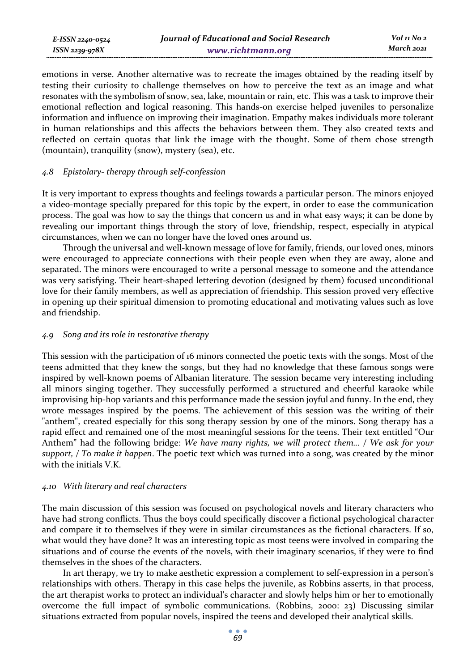emotions in verse. Another alternative was to recreate the images obtained by the reading itself by testing their curiosity to challenge themselves on how to perceive the text as an image and what resonates with the symbolism of snow, sea, lake, mountain or rain, etc. This was a task to improve their emotional reflection and logical reasoning. This hands-on exercise helped juveniles to personalize information and influence on improving their imagination. Empathy makes individuals more tolerant in human relationships and this affects the behaviors between them. They also created texts and reflected on certain quotas that link the image with the thought. Some of them chose strength (mountain), tranquility (snow), mystery (sea), etc.

### *4.8 Epistolary- therapy through self-confession*

*E-ISSN 2240-0524 ISSN 2239-978X*

It is very important to express thoughts and feelings towards a particular person. The minors enjoyed a video-montage specially prepared for this topic by the expert, in order to ease the communication process. The goal was how to say the things that concern us and in what easy ways; it can be done by revealing our important things through the story of love, friendship, respect, especially in atypical circumstances, when we can no longer have the loved ones around us.

Through the universal and well-known message of love for family, friends, our loved ones, minors were encouraged to appreciate connections with their people even when they are away, alone and separated. The minors were encouraged to write a personal message to someone and the attendance was very satisfying. Their heart-shaped lettering devotion (designed by them) focused unconditional love for their family members, as well as appreciation of friendship. This session proved very effective in opening up their spiritual dimension to promoting educational and motivating values such as love and friendship.

### *4.9 Song and its role in restorative therapy*

This session with the participation of 16 minors connected the poetic texts with the songs. Most of the teens admitted that they knew the songs, but they had no knowledge that these famous songs were inspired by well-known poems of Albanian literature. The session became very interesting including all minors singing together. They successfully performed a structured and cheerful karaoke while improvising hip-hop variants and this performance made the session joyful and funny. In the end, they wrote messages inspired by the poems. The achievement of this session was the writing of their "anthem", created especially for this song therapy session by one of the minors. Song therapy has a rapid effect and remained one of the most meaningful sessions for the teens. Their text entitled "Our Anthem" had the following bridge: *We have many rights, we will protect them… / We ask for your support, / To make it happen*. The poetic text which was turned into a song, was created by the minor with the initials V.K.

### *4.10 With literary and real characters*

The main discussion of this session was focused on psychological novels and literary characters who have had strong conflicts. Thus the boys could specifically discover a fictional psychological character and compare it to themselves if they were in similar circumstances as the fictional characters. If so, what would they have done? It was an interesting topic as most teens were involved in comparing the situations and of course the events of the novels, with their imaginary scenarios, if they were to find themselves in the shoes of the characters.

In art therapy, we try to make aesthetic expression a complement to self-expression in a person's relationships with others. Therapy in this case helps the juvenile, as Robbins asserts, in that process, the art therapist works to protect an individual's character and slowly helps him or her to emotionally overcome the full impact of symbolic communications. (Robbins, 2000: 23) Discussing similar situations extracted from popular novels, inspired the teens and developed their analytical skills.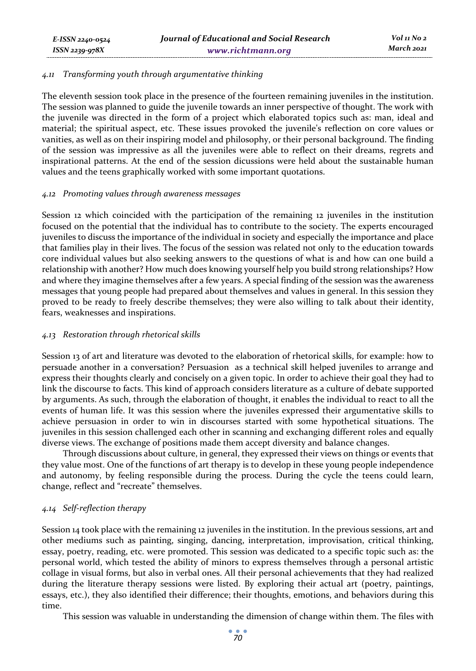### *4.11 Transforming youth through argumentative thinking*

The eleventh session took place in the presence of the fourteen remaining juveniles in the institution. The session was planned to guide the juvenile towards an inner perspective of thought. The work with the juvenile was directed in the form of a project which elaborated topics such as: man, ideal and material; the spiritual aspect, etc. These issues provoked the juvenile's reflection on core values or vanities, as well as on their inspiring model and philosophy, or their personal background. The finding of the session was impressive as all the juveniles were able to reflect on their dreams, regrets and inspirational patterns. At the end of the session dicussions were held about the sustainable human values and the teens graphically worked with some important quotations.

### *4.12 Promoting values through awareness messages*

Session 12 which coincided with the participation of the remaining 12 juveniles in the institution focused on the potential that the individual has to contribute to the society. The experts encouraged juveniles to discuss the importance of the individual in society and especially the importance and place that families play in their lives. The focus of the session was related not only to the education towards core individual values but also seeking answers to the questions of what is and how can one build a relationship with another? How much does knowing yourself help you build strong relationships? How and where they imagine themselves after a few years. A special finding of the session was the awareness messages that young people had prepared about themselves and values in general. In this session they proved to be ready to freely describe themselves; they were also willing to talk about their identity, fears, weaknesses and inspirations.

### *4.13 Restoration through rhetorical skills*

Session 13 of art and literature was devoted to the elaboration of rhetorical skills, for example: how to persuade another in a conversation? Persuasion as a technical skill helped juveniles to arrange and express their thoughts clearly and concisely on a given topic. In order to achieve their goal they had to link the discourse to facts. This kind of approach considers literature as a culture of debate supported by arguments. As such, through the elaboration of thought, it enables the individual to react to all the events of human life. It was this session where the juveniles expressed their argumentative skills to achieve persuasion in order to win in discourses started with some hypothetical situations. The juveniles in this session challenged each other in scanning and exchanging different roles and equally diverse views. The exchange of positions made them accept diversity and balance changes.

Through discussions about culture, in general, they expressed their views on things or events that they value most. One of the functions of art therapy is to develop in these young people independence and autonomy, by feeling responsible during the process. During the cycle the teens could learn, change, reflect and "recreate" themselves.

### *4.14 Self-reflection therapy*

Session 14 took place with the remaining 12 juveniles in the institution. In the previous sessions, art and other mediums such as painting, singing, dancing, interpretation, improvisation, critical thinking, essay, poetry, reading, etc. were promoted. This session was dedicated to a specific topic such as: the personal world, which tested the ability of minors to express themselves through a personal artistic collage in visual forms, but also in verbal ones. All their personal achievements that they had realized during the literature therapy sessions were listed. By exploring their actual art (poetry, paintings, essays, etc.), they also identified their difference; their thoughts, emotions, and behaviors during this time.

This session was valuable in understanding the dimension of change within them. The files with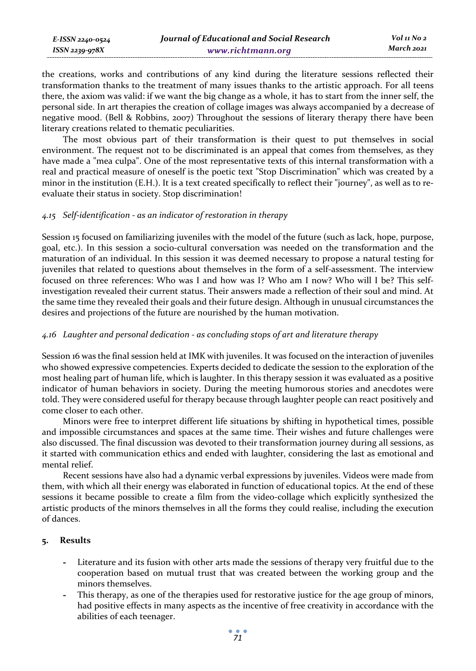| E-ISSN 2240-0524    | Journal of Educational and Social Research | Vol 11 No 2 |
|---------------------|--------------------------------------------|-------------|
| $ISSN$ 2239-97 $8X$ | www.richtmann.org                          | March 2021  |

the creations, works and contributions of any kind during the literature sessions reflected their transformation thanks to the treatment of many issues thanks to the artistic approach. For all teens there, the axiom was valid: if we want the big change as a whole, it has to start from the inner self, the personal side. In art therapies the creation of collage images was always accompanied by a decrease of negative mood. (Bell & Robbins, 2007) Throughout the sessions of literary therapy there have been literary creations related to thematic peculiarities.

The most obvious part of their transformation is their quest to put themselves in social environment. The request not to be discriminated is an appeal that comes from themselves, as they have made a "mea culpa". One of the most representative texts of this internal transformation with a real and practical measure of oneself is the poetic text "Stop Discrimination" which was created by a minor in the institution (E.H.). It is a text created specifically to reflect their "journey", as well as to reevaluate their status in society. Stop discrimination!

### *4.15 Self-identification - as an indicator of restoration in therapy*

Session 15 focused on familiarizing juveniles with the model of the future (such as lack, hope, purpose, goal, etc.). In this session a socio-cultural conversation was needed on the transformation and the maturation of an individual. In this session it was deemed necessary to propose a natural testing for juveniles that related to questions about themselves in the form of a self-assessment. The interview focused on three references: Who was I and how was I? Who am I now? Who will I be? This selfinvestigation revealed their current status. Their answers made a reflection of their soul and mind. At the same time they revealed their goals and their future design. Although in unusual circumstances the desires and projections of the future are nourished by the human motivation.

### *4.16 Laughter and personal dedication - as concluding stops of art and literature therapy*

Session 16 was the final session held at IMK with juveniles. It was focused on the interaction of juveniles who showed expressive competencies. Experts decided to dedicate the session to the exploration of the most healing part of human life, which is laughter. In this therapy session it was evaluated as a positive indicator of human behaviors in society. During the meeting humorous stories and anecdotes were told. They were considered useful for therapy because through laughter people can react positively and come closer to each other.

Minors were free to interpret different life situations by shifting in hypothetical times, possible and impossible circumstances and spaces at the same time. Their wishes and future challenges were also discussed. The final discussion was devoted to their transformation journey during all sessions, as it started with communication ethics and ended with laughter, considering the last as emotional and mental relief.

Recent sessions have also had a dynamic verbal expressions by juveniles. Videos were made from them, with which all their energy was elaborated in function of educational topics. At the end of these sessions it became possible to create a film from the video-collage which explicitly synthesized the artistic products of the minors themselves in all the forms they could realise, including the execution of dances.

### **5. Results**

- **-** Literature and its fusion with other arts made the sessions of therapy very fruitful due to the cooperation based on mutual trust that was created between the working group and the minors themselves.
- **-** This therapy, as one of the therapies used for restorative justice for the age group of minors, had positive effects in many aspects as the incentive of free creativity in accordance with the abilities of each teenager.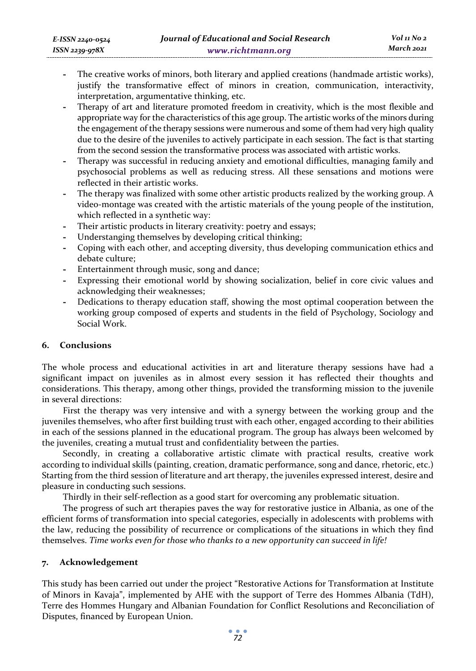- **-** The creative works of minors, both literary and applied creations (handmade artistic works), justify the transformative effect of minors in creation, communication, interactivity, interpretation, argumentative thinking, etc.
- **-** Therapy of art and literature promoted freedom in creativity, which is the most flexible and appropriate way for the characteristics of this age group. The artistic works of the minors during the engagement of the therapy sessions were numerous and some of them had very high quality due to the desire of the juveniles to actively participate in each session. The fact is that starting from the second session the transformative process was associated with artistic works.
- **-** Therapy was successful in reducing anxiety and emotional difficulties, managing family and psychosocial problems as well as reducing stress. All these sensations and motions were reflected in their artistic works.
- **-** The therapy was finalized with some other artistic products realized by the working group. A video-montage was created with the artistic materials of the young people of the institution, which reflected in a synthetic way:
- Their artistic products in literary creativity: poetry and essays;
- **-** Understanging themselves by developing critical thinking;
- **-** Coping with each other, and accepting diversity, thus developing communication ethics and debate culture;
- **-** Entertainment through music, song and dance;
- **-** Expressing their emotional world by showing socialization, belief in core civic values and acknowledging their weaknesses;
- **-** Dedications to therapy education staff, showing the most optimal cooperation between the working group composed of experts and students in the field of Psychology, Sociology and Social Work.

### **6. Conclusions**

The whole process and educational activities in art and literature therapy sessions have had a significant impact on juveniles as in almost every session it has reflected their thoughts and considerations. This therapy, among other things, provided the transforming mission to the juvenile in several directions:

First the therapy was very intensive and with a synergy between the working group and the juveniles themselves, who after first building trust with each other, engaged according to their abilities in each of the sessions planned in the educational program. The group has always been welcomed by the juveniles, creating a mutual trust and confidentiality between the parties.

Secondly, in creating a collaborative artistic climate with practical results, creative work according to individual skills (painting, creation, dramatic performance, song and dance, rhetoric, etc.) Starting from the third session of literature and art therapy, the juveniles expressed interest, desire and pleasure in conducting such sessions.

Thirdly in their self-reflection as a good start for overcoming any problematic situation.

The progress of such art therapies paves the way for restorative justice in Albania, as one of the efficient forms of transformation into special categories, especially in adolescents with problems with the law, reducing the possibility of recurrence or complications of the situations in which they find themselves. *Time works even for those who thanks to a new opportunity can succeed in life!*

### **7. Acknowledgement**

This study has been carried out under the project "Restorative Actions for Transformation at Institute of Minors in Kavaja", implemented by AHE with the support of Terre des Hommes Albania (TdH), Terre des Hommes Hungary and Albanian Foundation for Conflict Resolutions and Reconciliation of Disputes, financed by European Union.